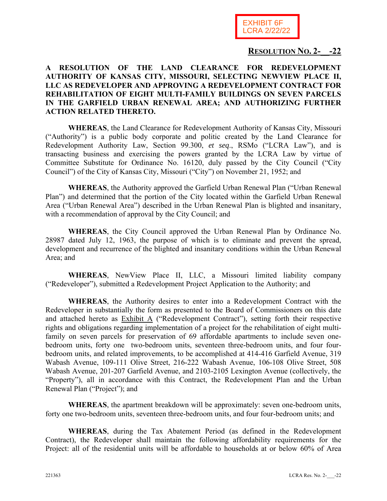

### **RESOLUTION NO. 2-\_\_-22**

#### **A RESOLUTION OF THE LAND CLEARANCE FOR REDEVELOPMENT AUTHORITY OF KANSAS CITY, MISSOURI, SELECTING NEWVIEW PLACE II, LLC AS REDEVELOPER AND APPROVING A REDEVELOPMENT CONTRACT FOR REHABILITATION OF EIGHT MULTI-FAMILY BUILDINGS ON SEVEN PARCELS IN THE GARFIELD URBAN RENEWAL AREA; AND AUTHORIZING FURTHER ACTION RELATED THERETO.**

**WHEREAS**, the Land Clearance for Redevelopment Authority of Kansas City, Missouri ("Authority") is a public body corporate and politic created by the Land Clearance for Redevelopment Authority Law, Section 99.300, *et seq*., RSMo ("LCRA Law"), and is transacting business and exercising the powers granted by the LCRA Law by virtue of Committee Substitute for Ordinance No. 16120, duly passed by the City Council ("City Council") of the City of Kansas City, Missouri ("City") on November 21, 1952; and

**WHEREAS**, the Authority approved the Garfield Urban Renewal Plan ("Urban Renewal Plan") and determined that the portion of the City located within the Garfield Urban Renewal Area ("Urban Renewal Area") described in the Urban Renewal Plan is blighted and insanitary, with a recommendation of approval by the City Council; and

**WHEREAS**, the City Council approved the Urban Renewal Plan by Ordinance No. 28987 dated July 12, 1963, the purpose of which is to eliminate and prevent the spread, development and recurrence of the blighted and insanitary conditions within the Urban Renewal Area; and

**WHEREAS**, NewView Place II, LLC, a Missouri limited liability company ("Redeveloper"), submitted a Redevelopment Project Application to the Authority; and

**WHEREAS**, the Authority desires to enter into a Redevelopment Contract with the Redeveloper in substantially the form as presented to the Board of Commissioners on this date and attached hereto as Exhibit A ("Redevelopment Contract"), setting forth their respective rights and obligations regarding implementation of a project for the rehabilitation of eight multifamily on seven parcels for preservation of 69 affordable apartments to include seven onebedroom units, forty one two-bedroom units, seventeen three-bedroom units, and four fourbedroom units, and related improvements, to be accomplished at 414-416 Garfield Avenue, 319 Wabash Avenue, 109-111 Olive Street, 216-222 Wabash Avenue, 106-108 Olive Street, 508 Wabash Avenue, 201-207 Garfield Avenue, and 2103-2105 Lexington Avenue (collectively, the "Property"), all in accordance with this Contract, the Redevelopment Plan and the Urban Renewal Plan ("Project"); and

**WHEREAS**, the apartment breakdown will be approximately: seven one-bedroom units, forty one two-bedroom units, seventeen three-bedroom units, and four four-bedroom units; and

**WHEREAS**, during the Tax Abatement Period (as defined in the Redevelopment Contract), the Redeveloper shall maintain the following affordability requirements for the Project: all of the residential units will be affordable to households at or below 60% of Area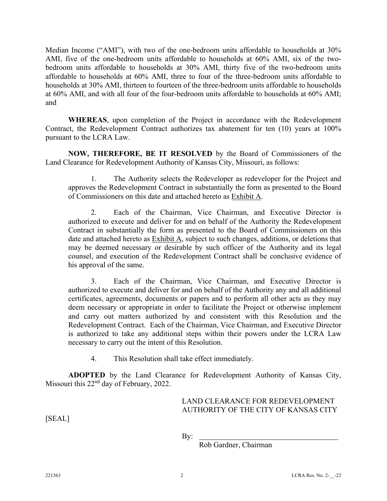Median Income ("AMI"), with two of the one-bedroom units affordable to households at 30% AMI, five of the one-bedroom units affordable to households at 60% AMI, six of the twobedroom units affordable to households at 30% AMI, thirty five of the two-bedroom units affordable to households at 60% AMI, three to four of the three-bedroom units affordable to households at 30% AMI, thirteen to fourteen of the three-bedroom units affordable to households at 60% AMI, and with all four of the four-bedroom units affordable to households at 60% AMI; and

**WHEREAS**, upon completion of the Project in accordance with the Redevelopment Contract, the Redevelopment Contract authorizes tax abatement for ten (10) years at 100% pursuant to the LCRA Law.

**NOW, THEREFORE, BE IT RESOLVED** by the Board of Commissioners of the Land Clearance for Redevelopment Authority of Kansas City, Missouri, as follows:

1. The Authority selects the Redeveloper as redeveloper for the Project and approves the Redevelopment Contract in substantially the form as presented to the Board of Commissioners on this date and attached hereto as Exhibit A.

2. Each of the Chairman, Vice Chairman, and Executive Director is authorized to execute and deliver for and on behalf of the Authority the Redevelopment Contract in substantially the form as presented to the Board of Commissioners on this date and attached hereto as Exhibit A, subject to such changes, additions, or deletions that may be deemed necessary or desirable by such officer of the Authority and its legal counsel, and execution of the Redevelopment Contract shall be conclusive evidence of his approval of the same.

3. Each of the Chairman, Vice Chairman, and Executive Director is authorized to execute and deliver for and on behalf of the Authority any and all additional certificates, agreements, documents or papers and to perform all other acts as they may deem necessary or appropriate in order to facilitate the Project or otherwise implement and carry out matters authorized by and consistent with this Resolution and the Redevelopment Contract. Each of the Chairman, Vice Chairman, and Executive Director is authorized to take any additional steps within their powers under the LCRA Law necessary to carry out the intent of this Resolution.

4. This Resolution shall take effect immediately.

**ADOPTED** by the Land Clearance for Redevelopment Authority of Kansas City, Missouri this 22<sup>nd</sup> day of February, 2022.

#### LAND CLEARANCE FOR REDEVELOPMENT AUTHORITY OF THE CITY OF KANSAS CITY

[SEAL]

By:

Rob Gardner, Chairman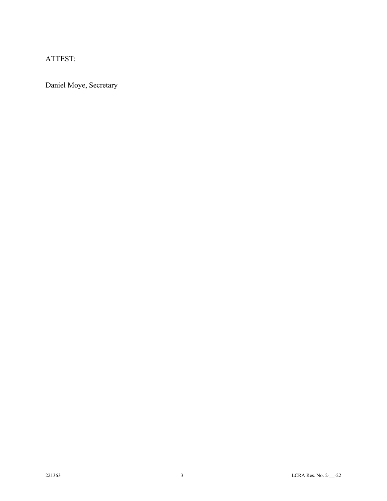ATTEST:

 $\overline{a}$ 

Daniel Moye, Secretary